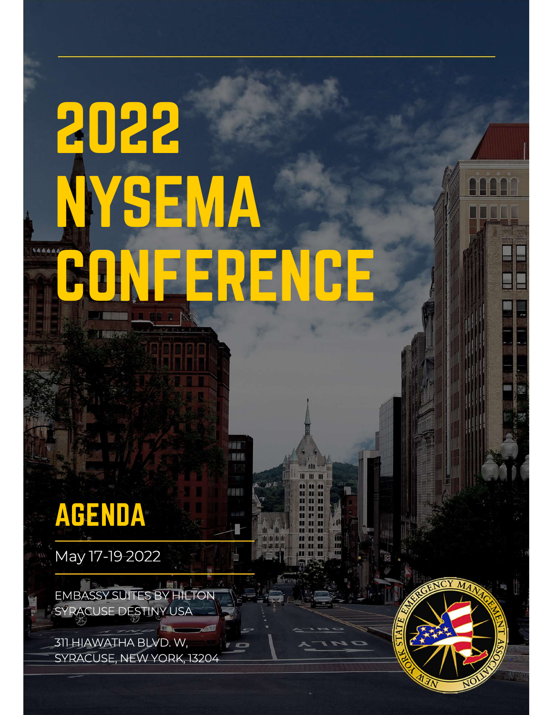# 2022 NYSEMA **ERENCE**

# AGENDA **ACENDA**<br>May 17-19 2022

EMBASSY SUITES BY HILTON SYRACUSE DESTINY USA

311 HIAWATHA BLVD. W, SYRACUSE, NEW YORK, 13204

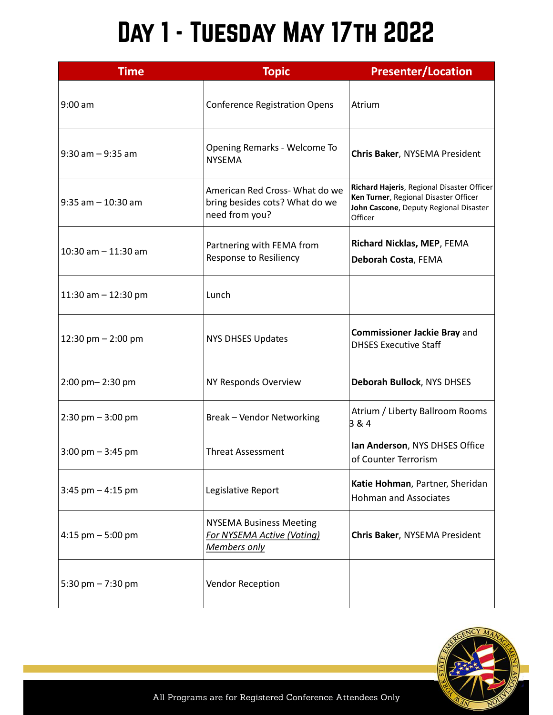## Day 1 - Tuesday May 17th 2022

| <b>Time</b>                         | <b>Topic</b>                                                                       | <b>Presenter/Location</b>                                                                                                                |
|-------------------------------------|------------------------------------------------------------------------------------|------------------------------------------------------------------------------------------------------------------------------------------|
| 9:00 am                             | <b>Conference Registration Opens</b>                                               | Atrium                                                                                                                                   |
| 9:30 am – 9:35 am                   | Opening Remarks - Welcome To<br><b>NYSEMA</b>                                      | Chris Baker, NYSEMA President                                                                                                            |
| $ 9:35$ am $-10:30$ am              | American Red Cross- What do we<br>bring besides cots? What do we<br>need from you? | Richard Hajeris, Regional Disaster Officer<br>Ken Turner, Regional Disaster Officer<br>John Cascone, Deputy Regional Disaster<br>Officer |
| $10:30$ am $- 11:30$ am             | Partnering with FEMA from<br><b>Response to Resiliency</b>                         | Richard Nicklas, MEP, FEMA<br>Deborah Costa, FEMA                                                                                        |
| $11:30$ am $-12:30$ pm              | Lunch                                                                              |                                                                                                                                          |
| 12:30 pm $-$ 2:00 pm                | <b>NYS DHSES Updates</b>                                                           | <b>Commissioner Jackie Bray and</b><br><b>DHSES Executive Staff</b>                                                                      |
| 2:00 pm-2:30 pm                     | NY Responds Overview                                                               | Deborah Bullock, NYS DHSES                                                                                                               |
| $2:30 \text{ pm} - 3:00 \text{ pm}$ | <b>Break-Vendor Networking</b>                                                     | Atrium / Liberty Ballroom Rooms<br>3 & 4                                                                                                 |
| $3:00 \text{ pm} - 3:45 \text{ pm}$ | <b>Threat Assessment</b>                                                           | Ian Anderson, NYS DHSES Office<br>of Counter Terrorism                                                                                   |
| 3:45 pm $-$ 4:15 pm                 | Legislative Report                                                                 | Katie Hohman, Partner, Sheridan<br><b>Hohman and Associates</b>                                                                          |
| $ 4:15$ pm $-5:00$ pm               | <b>NYSEMA Business Meeting</b><br>For NYSEMA Active (Voting)<br>Members only       | Chris Baker, NYSEMA President                                                                                                            |
| 5:30 pm $- 7:30$ pm                 | Vendor Reception                                                                   |                                                                                                                                          |

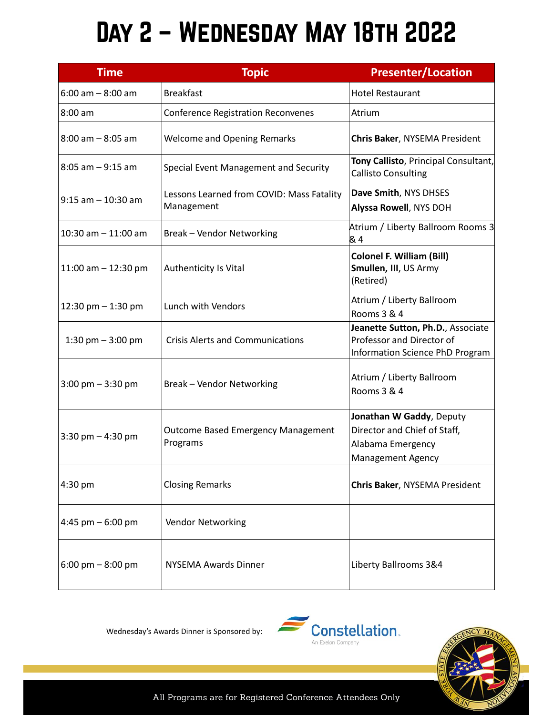### Day 2 – Wednesday May 18th 2022

|                                     | DAY 2 - WEDNESDAY MAY 18TH 2022                         |                                                                                                           |  |  |  |  |
|-------------------------------------|---------------------------------------------------------|-----------------------------------------------------------------------------------------------------------|--|--|--|--|
| <b>Time</b>                         | <b>Topic</b>                                            | <b>Presenter/Location</b>                                                                                 |  |  |  |  |
| 6:00 am - 8:00 am                   | <b>Breakfast</b>                                        | <b>Hotel Restaurant</b>                                                                                   |  |  |  |  |
| 8:00 am                             | <b>Conference Registration Reconvenes</b>               | Atrium                                                                                                    |  |  |  |  |
| $8:00$ am $-8:05$ am                | <b>Welcome and Opening Remarks</b>                      | Chris Baker, NYSEMA President                                                                             |  |  |  |  |
| 8:05 am – 9:15 am                   | Special Event Management and Security                   | Tony Callisto, Principal Consultant,<br><b>Callisto Consulting</b>                                        |  |  |  |  |
| $9:15$ am - 10:30 am                | Lessons Learned from COVID: Mass Fatality<br>Management | Dave Smith, NYS DHSES<br>Alyssa Rowell, NYS DOH                                                           |  |  |  |  |
| $10:30$ am $-11:00$ am              | <b>Break-Vendor Networking</b>                          | Atrium / Liberty Ballroom Rooms 3<br>& 4                                                                  |  |  |  |  |
| 11:00 am $-$ 12:30 pm               | Authenticity Is Vital                                   | <b>Colonel F. William (Bill)</b><br>Smullen, III, US Army<br>(Retired)                                    |  |  |  |  |
| 12:30 pm $-$ 1:30 pm                | Lunch with Vendors                                      | Atrium / Liberty Ballroom<br>Rooms 3 & 4                                                                  |  |  |  |  |
| 1:30 pm $-$ 3:00 pm                 | <b>Crisis Alerts and Communications</b>                 | Jeanette Sutton, Ph.D., Associate<br>Professor and Director of<br>Information Science PhD Program         |  |  |  |  |
| $3:00 \text{ pm} - 3:30 \text{ pm}$ | <b>Break-Vendor Networking</b>                          | Atrium / Liberty Ballroom<br>Rooms 3 & 4                                                                  |  |  |  |  |
| $3:30$ pm $-4:30$ pm                | <b>Outcome Based Emergency Management</b><br>Programs   | Jonathan W Gaddy, Deputy<br>Director and Chief of Staff,<br>Alabama Emergency<br><b>Management Agency</b> |  |  |  |  |
| 4:30 pm                             | <b>Closing Remarks</b>                                  | Chris Baker, NYSEMA President                                                                             |  |  |  |  |
| $4:45$ pm $-6:00$ pm                | Vendor Networking                                       |                                                                                                           |  |  |  |  |
| 6:00 pm $-$ 8:00 pm                 | <b>NYSEMA Awards Dinner</b>                             | Liberty Ballrooms 3&4                                                                                     |  |  |  |  |

Wednesday's Awards Dinner is Sponsored by:





All Programs are for Registered Conference Attendees Only